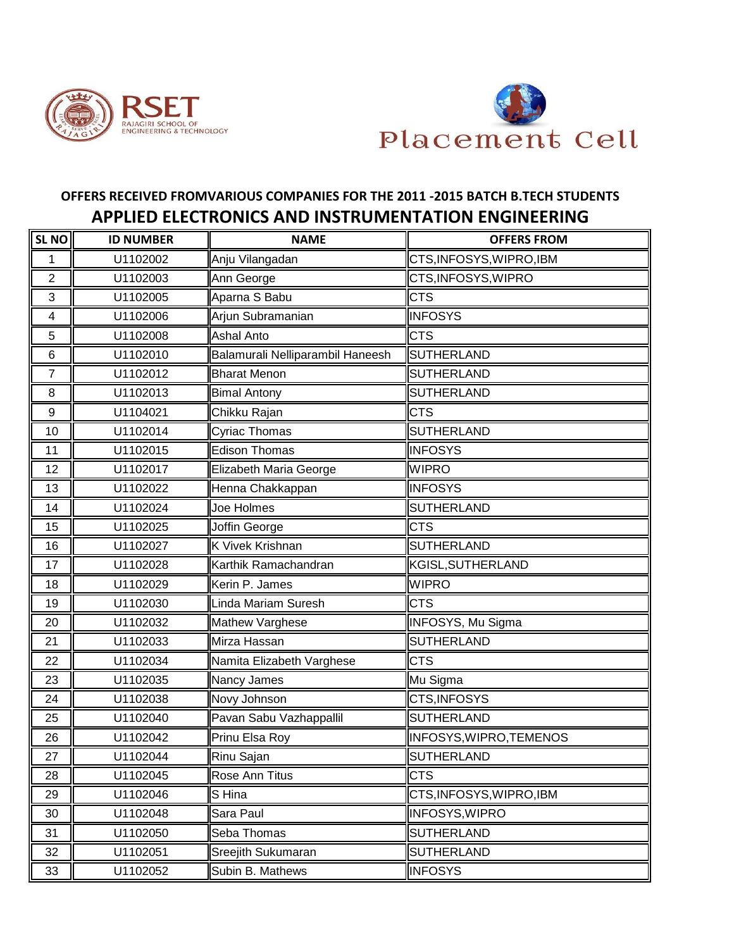



## **OFFERS RECEIVED FROMVARIOUS COMPANIES FOR THE 2011 -2015 BATCH B.TECH STUDENTS APPLIED ELECTRONICS AND INSTRUMENTATION ENGINEERING**

| <b>SL NO</b>   | <b>ID NUMBER</b> | <b>NAME</b>                      | <b>OFFERS FROM</b>             |
|----------------|------------------|----------------------------------|--------------------------------|
| 1              | U1102002         | Anju Vilangadan                  | CTS, INFOSYS, WIPRO, IBM       |
| $\overline{2}$ | U1102003         | Ann George                       | CTS, INFOSYS, WIPRO            |
| 3              | U1102005         | Aparna S Babu                    | <b>CTS</b>                     |
| 4              | U1102006         | Arjun Subramanian                | <b>INFOSYS</b>                 |
| 5              | U1102008         | <b>Ashal Anto</b>                | <b>CTS</b>                     |
| 6              | U1102010         | Balamurali Nelliparambil Haneesh | <b>SUTHERLAND</b>              |
| $\overline{7}$ | U1102012         | <b>Bharat Menon</b>              | <b>SUTHERLAND</b>              |
| 8              | U1102013         | <b>Bimal Antony</b>              | <b>SUTHERLAND</b>              |
| 9              | U1104021         | Chikku Rajan                     | <b>CTS</b>                     |
| 10             | U1102014         | Cyriac Thomas                    | <b>SUTHERLAND</b>              |
| 11             | U1102015         | <b>Edison Thomas</b>             | <b>INFOSYS</b>                 |
| 12             | U1102017         | Elizabeth Maria George           | <b>WIPRO</b>                   |
| 13             | U1102022         | Henna Chakkappan                 | <b>INFOSYS</b>                 |
| 14             | U1102024         | Joe Holmes                       | <b>SUTHERLAND</b>              |
| 15             | U1102025         | Joffin George                    | <b>CTS</b>                     |
| 16             | U1102027         | <b>K Vivek Krishnan</b>          | <b>SUTHERLAND</b>              |
| 17             | U1102028         | Karthik Ramachandran             | <b>KGISL, SUTHERLAND</b>       |
| 18             | U1102029         | Kerin P. James                   | <b>WIPRO</b>                   |
| 19             | U1102030         | Linda Mariam Suresh              | <b>CTS</b>                     |
| 20             | U1102032         | Mathew Varghese                  | INFOSYS, Mu Sigma              |
| 21             | U1102033         | Mirza Hassan                     | <b>SUTHERLAND</b>              |
| 22             | U1102034         | Namita Elizabeth Varghese        | <b>CTS</b>                     |
| 23             | U1102035         | Nancy James                      | Mu Sigma                       |
| 24             | U1102038         | Novy Johnson                     | CTS, INFOSYS                   |
| 25             | U1102040         | Pavan Sabu Vazhappallil          | <b>SUTHERLAND</b>              |
| 26             | U1102042         | Prinu Elsa Roy                   | <b>INFOSYS, WIPRO, TEMENOS</b> |
| 27             | U1102044         | Rinu Sajan                       | <b>SUTHERLAND</b>              |
| 28             | U1102045         | Rose Ann Titus                   | <b>CTS</b>                     |
| 29             | U1102046         | S Hina                           | CTS, INFOSYS, WIPRO, IBM       |
| 30             | U1102048         | Sara Paul                        | <b>INFOSYS, WIPRO</b>          |
| 31             | U1102050         | Seba Thomas                      | <b>SUTHERLAND</b>              |
| 32             | U1102051         | Sreejith Sukumaran               | <b>SUTHERLAND</b>              |
| 33             | U1102052         | Subin B. Mathews                 | <b>INFOSYS</b>                 |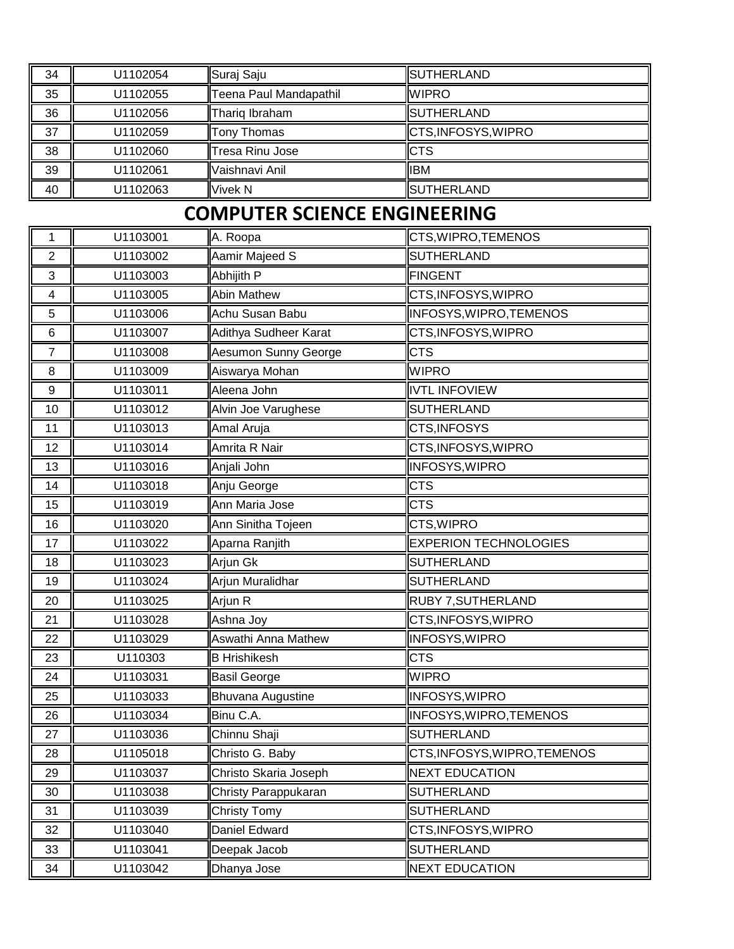| 34                      | U1102054 | Suraj Saju                          | <b>SUTHERLAND</b>            |
|-------------------------|----------|-------------------------------------|------------------------------|
| 35                      | U1102055 | Teena Paul Mandapathil              | <b>WIPRO</b>                 |
| 36                      | U1102056 | Thariq Ibraham                      | <b>SUTHERLAND</b>            |
| 37                      | U1102059 | Tony Thomas                         | CTS, INFOSYS, WIPRO          |
| 38                      | U1102060 | Tresa Rinu Jose                     | <b>CTS</b>                   |
| 39                      | U1102061 | Vaishnavi Anil                      | <b>IBM</b>                   |
| 40                      | U1102063 | <b>Vivek N</b>                      | <b>SUTHERLAND</b>            |
|                         |          | <b>COMPUTER SCIENCE ENGINEERING</b> |                              |
| 1                       | U1103001 | A. Roopa                            | CTS, WIPRO, TEMENOS          |
| 2                       | U1103002 | Aamir Majeed S                      | <b>SUTHERLAND</b>            |
| 3                       | U1103003 | Abhijith P                          | <b>FINGENT</b>               |
| $\overline{\mathbf{4}}$ | U1103005 | <b>Abin Mathew</b>                  | CTS, INFOSYS, WIPRO          |
| 5                       | U1103006 | Achu Susan Babu                     | INFOSYS, WIPRO, TEMENOS      |
| $\,6$                   | U1103007 | Adithya Sudheer Karat               | CTS, INFOSYS, WIPRO          |
| $\overline{7}$          | U1103008 | Aesumon Sunny George                | <b>CTS</b>                   |
| 8                       | U1103009 | Aiswarya Mohan                      | <b>WIPRO</b>                 |
| $\boldsymbol{9}$        | U1103011 | Aleena John                         | <b>IVTL INFOVIEW</b>         |
| 10                      | U1103012 | Alvin Joe Varughese                 | <b>SUTHERLAND</b>            |
| 11                      | U1103013 | Amal Aruja                          | CTS, INFOSYS                 |
| 12                      | U1103014 | Amrita R Nair                       | CTS, INFOSYS, WIPRO          |
| 13                      | U1103016 | Anjali John                         | <b>INFOSYS, WIPRO</b>        |
| 14                      | U1103018 | Anju George                         | <b>CTS</b>                   |
| 15                      | U1103019 | Ann Maria Jose                      | <b>CTS</b>                   |
| 16                      | U1103020 | Ann Sinitha Tojeen                  | CTS, WIPRO                   |
| 17                      | U1103022 | Aparna Ranjith                      | <b>EXPERION TECHNOLOGIES</b> |
| 18                      | U1103023 | Arjun Gk                            | <b>SUTHERLAND</b>            |
| 19                      | U1103024 | Arjun Muralidhar                    | <b>SUTHERLAND</b>            |
| 20                      | U1103025 | Arjun R                             | RUBY 7, SUTHERLAND           |
| 21                      | U1103028 | Ashna Joy                           | CTS, INFOSYS, WIPRO          |
| 22                      | U1103029 | Aswathi Anna Mathew                 | <b>INFOSYS, WIPRO</b>        |
| 23                      | U110303  | <b>B</b> Hrishikesh                 | <b>CTS</b>                   |
| 24                      | U1103031 | <b>Basil George</b>                 | <b>WIPRO</b>                 |
| 25                      | U1103033 | Bhuvana Augustine                   | <b>INFOSYS, WIPRO</b>        |
| 26                      | U1103034 | Binu C.A.                           | INFOSYS, WIPRO, TEMENOS      |
| 27                      | U1103036 | Chinnu Shaji                        | <b>SUTHERLAND</b>            |
| 28                      | U1105018 | Christo G. Baby                     | CTS, INFOSYS, WIPRO, TEMENOS |
| 29                      | U1103037 | Christo Skaria Joseph               | <b>NEXT EDUCATION</b>        |
| 30                      | U1103038 | Christy Parappukaran                | <b>SUTHERLAND</b>            |
| 31                      | U1103039 | <b>Christy Tomy</b>                 | <b>SUTHERLAND</b>            |
| 32                      | U1103040 | Daniel Edward                       | CTS, INFOSYS, WIPRO          |
| 33                      | U1103041 | Deepak Jacob                        | <b>SUTHERLAND</b>            |
| 34                      | U1103042 | Dhanya Jose                         | <b>NEXT EDUCATION</b>        |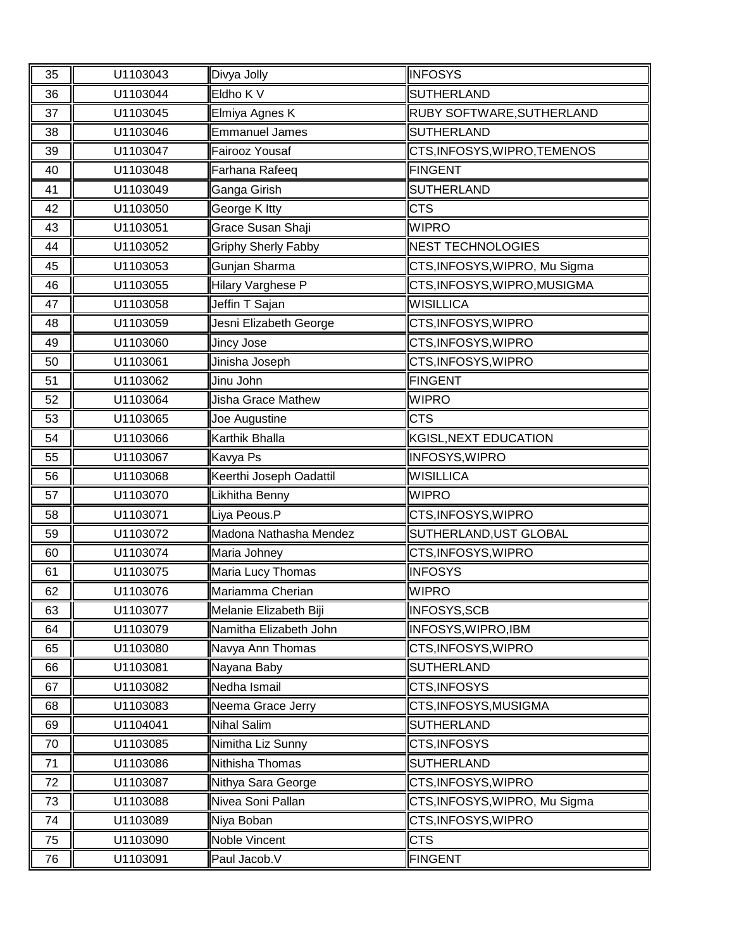| 35 | U1103043 | Divya Jolly                | <b>INFOSYS</b>                |
|----|----------|----------------------------|-------------------------------|
| 36 | U1103044 | Eldho K V                  | <b>SUTHERLAND</b>             |
| 37 | U1103045 | Elmiya Agnes K             | RUBY SOFTWARE, SUTHERLAND     |
| 38 | U1103046 | <b>Emmanuel James</b>      | <b>SUTHERLAND</b>             |
| 39 | U1103047 | Fairooz Yousaf             | CTS, INFOSYS, WIPRO, TEMENOS  |
| 40 | U1103048 | Farhana Rafeeq             | <b>FINGENT</b>                |
| 41 | U1103049 | Ganga Girish               | <b>SUTHERLAND</b>             |
| 42 | U1103050 | George K Itty              | <b>CTS</b>                    |
| 43 | U1103051 | Grace Susan Shaji          | <b>WIPRO</b>                  |
| 44 | U1103052 | <b>Griphy Sherly Fabby</b> | <b>NEST TECHNOLOGIES</b>      |
| 45 | U1103053 | Gunjan Sharma              | CTS, INFOSYS, WIPRO, Mu Sigma |
| 46 | U1103055 | Hilary Varghese P          | CTS, INFOSYS, WIPRO, MUSIGMA  |
| 47 | U1103058 | Jeffin T Sajan             | <b>WISILLICA</b>              |
| 48 | U1103059 | Jesni Elizabeth George     | CTS, INFOSYS, WIPRO           |
| 49 | U1103060 | Jincy Jose                 | CTS, INFOSYS, WIPRO           |
| 50 | U1103061 | Jinisha Joseph             | CTS, INFOSYS, WIPRO           |
| 51 | U1103062 | Jinu John                  | <b>FINGENT</b>                |
| 52 | U1103064 | Jisha Grace Mathew         | <b>WIPRO</b>                  |
| 53 | U1103065 | Joe Augustine              | <b>CTS</b>                    |
| 54 | U1103066 | Karthik Bhalla             | KGISL, NEXT EDUCATION         |
| 55 | U1103067 | Kavya Ps                   | <b>INFOSYS, WIPRO</b>         |
| 56 | U1103068 | Keerthi Joseph Oadattil    | <b>WISILLICA</b>              |
| 57 | U1103070 | Likhitha Benny             | <b>WIPRO</b>                  |
| 58 | U1103071 | Liya Peous.P               | CTS, INFOSYS, WIPRO           |
| 59 | U1103072 | Madona Nathasha Mendez     | SUTHERLAND, UST GLOBAL        |
| 60 | U1103074 | Maria Johney               | CTS, INFOSYS, WIPRO           |
| 61 | U1103075 | Maria Lucy Thomas          | <b>INFOSYS</b>                |
| 62 | U1103076 | Mariamma Cherian           | <b>WIPRO</b>                  |
| 63 | U1103077 | Melanie Elizabeth Biji     | INFOSYS, SCB                  |
| 64 | U1103079 | Namitha Elizabeth John     | INFOSYS, WIPRO, IBM           |
| 65 | U1103080 | Navya Ann Thomas           | CTS, INFOSYS, WIPRO           |
| 66 | U1103081 | Nayana Baby                | <b>SUTHERLAND</b>             |
| 67 | U1103082 | Nedha Ismail               | CTS, INFOSYS                  |
| 68 | U1103083 | Neema Grace Jerry          | CTS, INFOSYS, MUSIGMA         |
| 69 | U1104041 | <b>Nihal Salim</b>         | <b>SUTHERLAND</b>             |
| 70 | U1103085 | Nimitha Liz Sunny          | CTS, INFOSYS                  |
| 71 | U1103086 | Nithisha Thomas            | <b>SUTHERLAND</b>             |
| 72 | U1103087 | Nithya Sara George         | CTS, INFOSYS, WIPRO           |
| 73 | U1103088 | Nivea Soni Pallan          | CTS, INFOSYS, WIPRO, Mu Sigma |
| 74 | U1103089 | Niya Boban                 | CTS, INFOSYS, WIPRO           |
| 75 | U1103090 | Noble Vincent              | <b>CTS</b>                    |
| 76 | U1103091 | Paul Jacob.V               | FINGENT                       |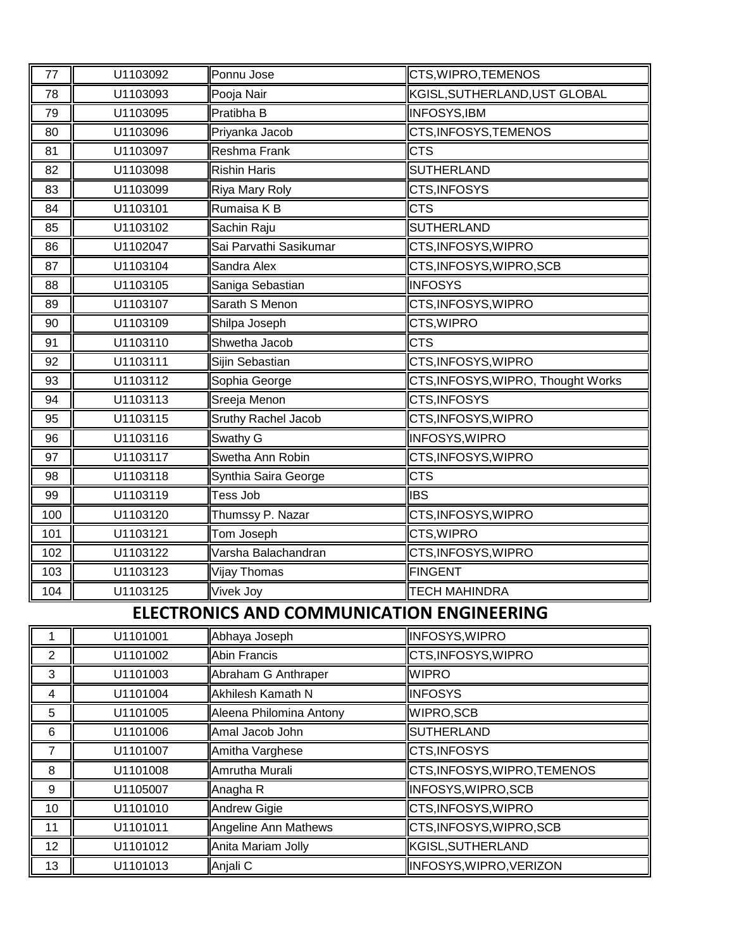| 77               | U1103092 | Ponnu Jose                                       | CTS, WIPRO, TEMENOS                |
|------------------|----------|--------------------------------------------------|------------------------------------|
| 78               | U1103093 | Pooja Nair                                       | KGISL, SUTHERLAND, UST GLOBAL      |
| 79               | U1103095 | Pratibha B                                       | <b>INFOSYS, IBM</b>                |
| 80               | U1103096 | Priyanka Jacob                                   | CTS, INFOSYS, TEMENOS              |
| 81               | U1103097 | Reshma Frank                                     | <b>CTS</b>                         |
| 82               | U1103098 | <b>Rishin Haris</b>                              | <b>SUTHERLAND</b>                  |
| 83               | U1103099 | Riya Mary Roly                                   | CTS, INFOSYS                       |
| 84               | U1103101 | Rumaisa K B                                      | <b>CTS</b>                         |
| 85               | U1103102 | Sachin Raju                                      | <b>SUTHERLAND</b>                  |
| 86               | U1102047 | Sai Parvathi Sasikumar                           | CTS, INFOSYS, WIPRO                |
| 87               | U1103104 | Sandra Alex                                      | CTS, INFOSYS, WIPRO, SCB           |
| 88               | U1103105 | Saniga Sebastian                                 | <b>INFOSYS</b>                     |
| 89               | U1103107 | Sarath S Menon                                   | CTS, INFOSYS, WIPRO                |
| 90               | U1103109 | Shilpa Joseph                                    | CTS, WIPRO                         |
| 91               | U1103110 | Shwetha Jacob                                    | <b>CTS</b>                         |
| 92               | U1103111 | Sijin Sebastian                                  | CTS, INFOSYS, WIPRO                |
| 93               | U1103112 | Sophia George                                    | CTS, INFOSYS, WIPRO, Thought Works |
| 94               | U1103113 | Sreeja Menon                                     | CTS, INFOSYS                       |
| 95               | U1103115 | Sruthy Rachel Jacob                              | CTS, INFOSYS, WIPRO                |
| 96               | U1103116 | Swathy G                                         | <b>INFOSYS, WIPRO</b>              |
| 97               | U1103117 | Swetha Ann Robin                                 | CTS, INFOSYS, WIPRO                |
| 98               | U1103118 | Synthia Saira George                             | <b>CTS</b>                         |
| 99               | U1103119 | Tess Job                                         | <b>IBS</b>                         |
| 100              | U1103120 | Thumssy P. Nazar                                 | CTS, INFOSYS, WIPRO                |
| 101              | U1103121 | Tom Joseph                                       | CTS, WIPRO                         |
| 102              | U1103122 | Varsha Balachandran                              | CTS, INFOSYS, WIPRO                |
| 103              | U1103123 | Vijay Thomas                                     | <b>FINGENT</b>                     |
| 104              | U1103125 | Vivek Joy                                        | <b>TECH MAHINDRA</b>               |
|                  |          | <b>ELECTRONICS AND COMMUNICATION ENGINEERING</b> |                                    |
| 1                | U1101001 | Abhaya Joseph                                    | INFOSYS, WIPRO                     |
| $\sqrt{2}$       | U1101002 | Abin Francis                                     | CTS, INFOSYS, WIPRO                |
| 3                | U1101003 | Abraham G Anthraper                              | <b>WIPRO</b>                       |
| 4                | U1101004 | Akhilesh Kamath N                                | <b>INFOSYS</b>                     |
| 5                | U1101005 | Aleena Philomina Antony                          | WIPRO, SCB                         |
| $\,6$            | U1101006 | Amal Jacob John                                  | <b>SUTHERLAND</b>                  |
| $\overline{7}$   | U1101007 | Amitha Varghese                                  | CTS, INFOSYS                       |
| 8                | U1101008 | Amrutha Murali                                   | CTS, INFOSYS, WIPRO, TEMENOS       |
| $\boldsymbol{9}$ | U1105007 | Anagha R                                         | INFOSYS, WIPRO, SCB                |
| 10               | U1101010 | Andrew Gigie                                     | CTS, INFOSYS, WIPRO                |

11 U1101011 Angeline Ann Mathews CTS, INFOSYS, WIPRO, SCB

13 U1101013 Anjali C INFOSYS, WIPRO, VERIZON

12 U1101012 Anita Mariam Jolly KGISL, SUTHERLAND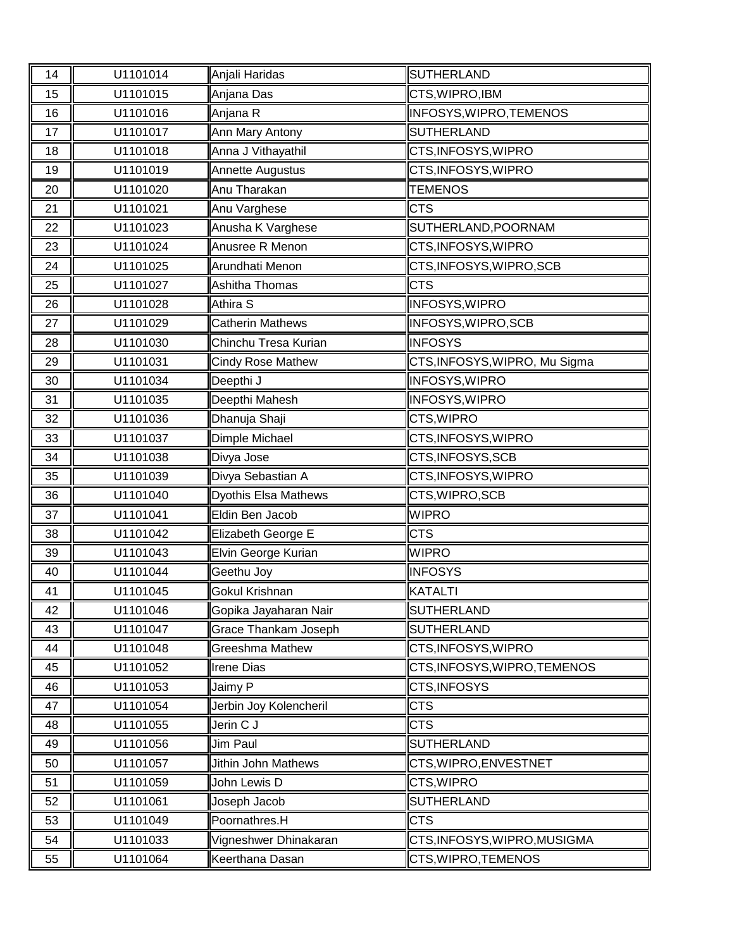| 14 | U1101014 | Anjali Haridas              | SUTHERLAND                    |
|----|----------|-----------------------------|-------------------------------|
| 15 | U1101015 | Anjana Das                  | CTS, WIPRO, IBM               |
| 16 | U1101016 | Anjana R                    | INFOSYS, WIPRO, TEMENOS       |
| 17 | U1101017 | Ann Mary Antony             | <b>SUTHERLAND</b>             |
| 18 | U1101018 | Anna J Vithayathil          | CTS, INFOSYS, WIPRO           |
| 19 | U1101019 | Annette Augustus            | CTS, INFOSYS, WIPRO           |
| 20 | U1101020 | Anu Tharakan                | <b>TEMENOS</b>                |
| 21 | U1101021 | Anu Varghese                | <b>CTS</b>                    |
| 22 | U1101023 | Anusha K Varghese           | SUTHERLAND, POORNAM           |
| 23 | U1101024 | Anusree R Menon             | CTS, INFOSYS, WIPRO           |
| 24 | U1101025 | Arundhati Menon             | CTS, INFOSYS, WIPRO, SCB      |
| 25 | U1101027 | Ashitha Thomas              | <b>CTS</b>                    |
| 26 | U1101028 | Athira S                    | <b>INFOSYS, WIPRO</b>         |
| 27 | U1101029 | <b>Catherin Mathews</b>     | INFOSYS, WIPRO, SCB           |
| 28 | U1101030 | Chinchu Tresa Kurian        | <b>INFOSYS</b>                |
| 29 | U1101031 | <b>Cindy Rose Mathew</b>    | CTS, INFOSYS, WIPRO, Mu Sigma |
| 30 | U1101034 | Deepthi J                   | <b>INFOSYS, WIPRO</b>         |
| 31 | U1101035 | Deepthi Mahesh              | <b>INFOSYS, WIPRO</b>         |
| 32 | U1101036 | Dhanuja Shaji               | CTS, WIPRO                    |
| 33 | U1101037 | Dimple Michael              | CTS, INFOSYS, WIPRO           |
| 34 | U1101038 | Divya Jose                  | CTS, INFOSYS, SCB             |
| 35 | U1101039 | Divya Sebastian A           | CTS, INFOSYS, WIPRO           |
| 36 | U1101040 | <b>Dyothis Elsa Mathews</b> | CTS, WIPRO, SCB               |
| 37 | U1101041 | Eldin Ben Jacob             | <b>WIPRO</b>                  |
| 38 |          |                             |                               |
|    | U1101042 | Elizabeth George E          | <b>CTS</b>                    |
| 39 | U1101043 | Elvin George Kurian         | <b>WIPRO</b>                  |
| 40 | U1101044 | Geethu Joy                  | <b>INFOSYS</b>                |
| 41 | U1101045 | Gokul Krishnan              | <b>KATALTI</b>                |
| 42 | U1101046 | Gopika Jayaharan Nair       | SUTHERLAND                    |
| 43 | U1101047 | <b>Grace Thankam Joseph</b> | SUTHERLAND                    |
| 44 | U1101048 | <b>Greeshma Mathew</b>      | CTS, INFOSYS, WIPRO           |
| 45 | U1101052 | Irene Dias                  | CTS, INFOSYS, WIPRO, TEMENOS  |
| 46 | U1101053 | Jaimy P                     | CTS, INFOSYS                  |
| 47 | U1101054 | Jerbin Joy Kolencheril      | <b>CTS</b>                    |
| 48 | U1101055 | Jerin C J                   | <b>CTS</b>                    |
| 49 | U1101056 | Jim Paul                    | <b>SUTHERLAND</b>             |
| 50 | U1101057 | Jithin John Mathews         | CTS, WIPRO, ENVESTNET         |
| 51 | U1101059 | John Lewis D                | CTS, WIPRO                    |
| 52 | U1101061 | Joseph Jacob                | <b>SUTHERLAND</b>             |
| 53 | U1101049 | Poornathres.H               | <b>CTS</b>                    |
| 54 | U1101033 | Vigneshwer Dhinakaran       | CTS, INFOSYS, WIPRO, MUSIGMA  |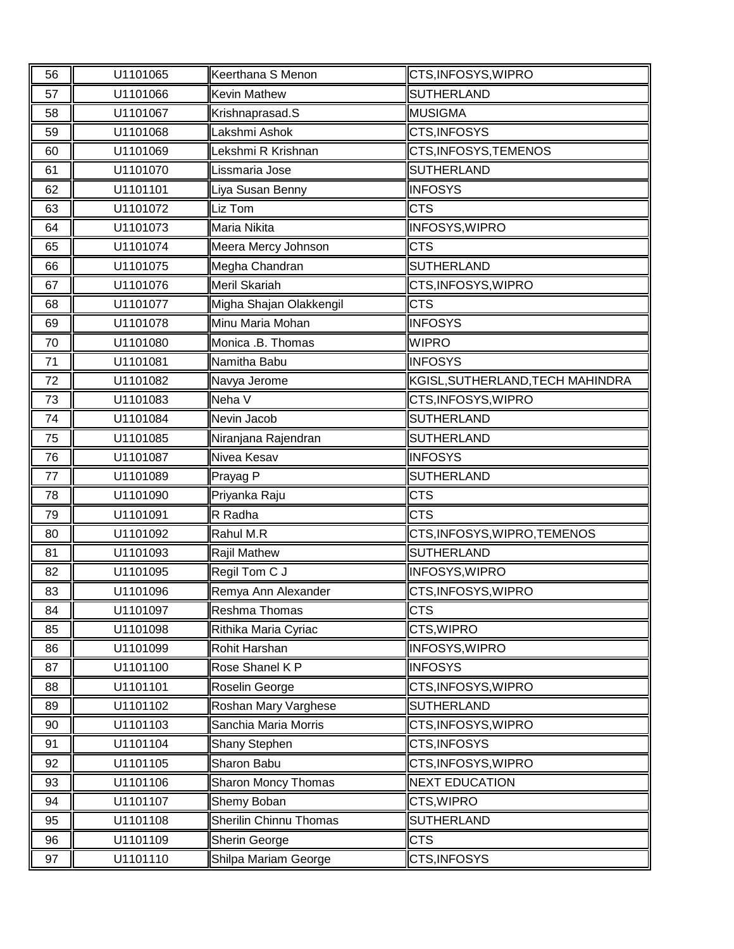| 56 | U1101065 | Keerthana S Menon       | CTS, INFOSYS, WIPRO              |
|----|----------|-------------------------|----------------------------------|
| 57 | U1101066 | <b>Kevin Mathew</b>     | <b>SUTHERLAND</b>                |
| 58 | U1101067 | Krishnaprasad.S         | <b>MUSIGMA</b>                   |
| 59 | U1101068 | Lakshmi Ashok           | CTS, INFOSYS                     |
| 60 | U1101069 | Lekshmi R Krishnan      | CTS, INFOSYS, TEMENOS            |
| 61 | U1101070 | Lissmaria Jose          | <b>SUTHERLAND</b>                |
| 62 | U1101101 | Liya Susan Benny        | <b>INFOSYS</b>                   |
| 63 | U1101072 | Liz Tom                 | <b>CTS</b>                       |
| 64 | U1101073 | Maria Nikita            | INFOSYS, WIPRO                   |
| 65 | U1101074 | Meera Mercy Johnson     | <b>CTS</b>                       |
| 66 | U1101075 | Megha Chandran          | SUTHERLAND                       |
| 67 | U1101076 | Meril Skariah           | CTS, INFOSYS, WIPRO              |
| 68 | U1101077 | Migha Shajan Olakkengil | <b>CTS</b>                       |
| 69 | U1101078 | Minu Maria Mohan        | <b>INFOSYS</b>                   |
| 70 | U1101080 | Monica .B. Thomas       | <b>WIPRO</b>                     |
| 71 | U1101081 | Namitha Babu            | <b>INFOSYS</b>                   |
| 72 | U1101082 | Navya Jerome            | KGISL, SUTHERLAND, TECH MAHINDRA |
| 73 | U1101083 | Neha V                  | CTS, INFOSYS, WIPRO              |
| 74 | U1101084 | Nevin Jacob             | <b>SUTHERLAND</b>                |
| 75 | U1101085 | Niranjana Rajendran     | SUTHERLAND                       |
| 76 | U1101087 | Nivea Kesav             | <b>INFOSYS</b>                   |
| 77 | U1101089 | Prayag P                | <b>SUTHERLAND</b>                |
| 78 | U1101090 | Priyanka Raju           | <b>CTS</b>                       |
| 79 | U1101091 | R Radha                 | <b>CTS</b>                       |
| 80 | U1101092 | Rahul M.R               | CTS, INFOSYS, WIPRO, TEMENOS     |
| 81 | U1101093 | Rajil Mathew            | SUTHERLAND                       |
| 82 | U1101095 | Regil Tom C J           | <b>INFOSYS, WIPRO</b>            |
| 83 | U1101096 | Remya Ann Alexander     | CTS, INFOSYS, WIPRO              |
| 84 | U1101097 | Reshma Thomas           | <b>CTS</b>                       |
| 85 | U1101098 | Rithika Maria Cyriac    | CTS, WIPRO                       |
| 86 | U1101099 | Rohit Harshan           | <b>INFOSYS, WIPRO</b>            |
| 87 | U1101100 | Rose Shanel K P         | <b>INFOSYS</b>                   |
| 88 | U1101101 | Roselin George          | CTS, INFOSYS, WIPRO              |
| 89 | U1101102 | Roshan Mary Varghese    | <b>SUTHERLAND</b>                |
| 90 | U1101103 | Sanchia Maria Morris    | CTS, INFOSYS, WIPRO              |
| 91 | U1101104 | Shany Stephen           | CTS, INFOSYS                     |
| 92 | U1101105 | Sharon Babu             | CTS, INFOSYS, WIPRO              |
| 93 | U1101106 | Sharon Moncy Thomas     | <b>NEXT EDUCATION</b>            |
| 94 | U1101107 | Shemy Boban             | CTS, WIPRO                       |
| 95 | U1101108 | Sherilin Chinnu Thomas  | <b>SUTHERLAND</b>                |
| 96 | U1101109 | Sherin George           | <b>CTS</b>                       |
| 97 | U1101110 | Shilpa Mariam George    | CTS, INFOSYS                     |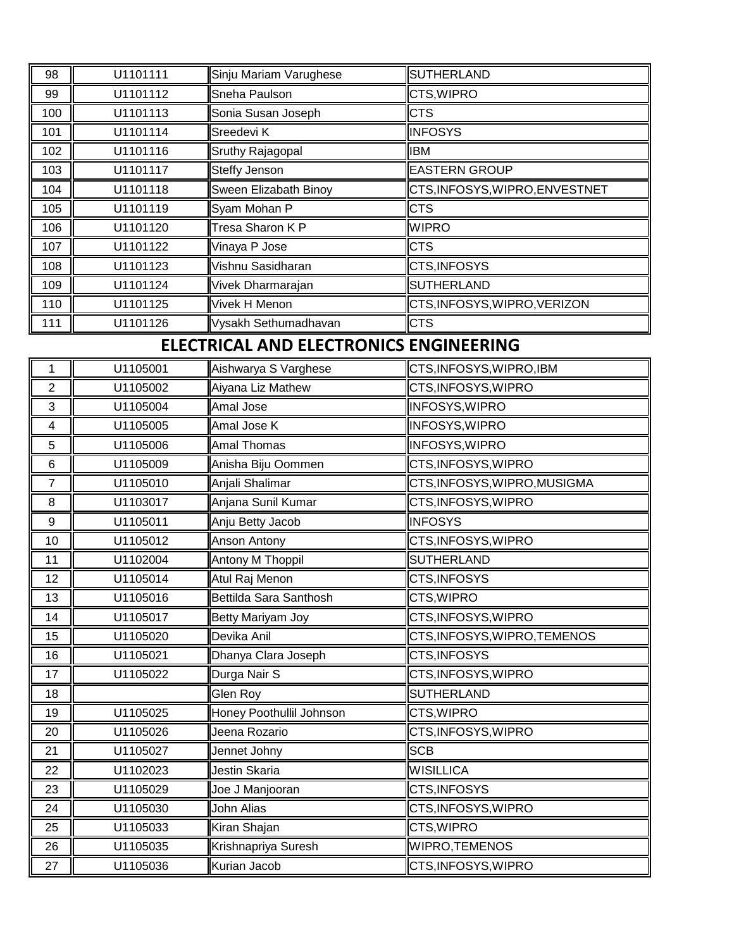| 98                      | U1101111 | Sinju Mariam Varughese                 | <b>SUTHERLAND</b>              |
|-------------------------|----------|----------------------------------------|--------------------------------|
| 99                      | U1101112 | Sneha Paulson                          | CTS, WIPRO                     |
| 100                     | U1101113 | Sonia Susan Joseph                     | <b>CTS</b>                     |
| 101                     | U1101114 | Sreedevi K                             | <b>INFOSYS</b>                 |
| 102                     | U1101116 | Sruthy Rajagopal                       | <b>IBM</b>                     |
| 103                     | U1101117 | <b>Steffy Jenson</b>                   | <b>EASTERN GROUP</b>           |
| 104                     | U1101118 | Sween Elizabath Binoy                  | CTS, INFOSYS, WIPRO, ENVESTNET |
| 105                     | U1101119 | Syam Mohan P                           | <b>CTS</b>                     |
| 106                     | U1101120 | Tresa Sharon K P                       | <b>WIPRO</b>                   |
| 107                     | U1101122 | Vinaya P Jose                          | <b>CTS</b>                     |
| 108                     | U1101123 | Vishnu Sasidharan                      | CTS, INFOSYS                   |
| 109                     | U1101124 | Vivek Dharmarajan                      | <b>SUTHERLAND</b>              |
| 110                     | U1101125 | Vivek H Menon                          | CTS, INFOSYS, WIPRO, VERIZON   |
| 111                     | U1101126 | Vysakh Sethumadhavan                   | <b>CTS</b>                     |
|                         |          | ELECTRICAL AND ELECTRONICS ENGINEERING |                                |
| 1                       | U1105001 | Aishwarya S Varghese                   | CTS, INFOSYS, WIPRO, IBM       |
| $\overline{2}$          | U1105002 | Aiyana Liz Mathew                      | CTS, INFOSYS, WIPRO            |
| 3                       | U1105004 | Amal Jose                              | <b>INFOSYS, WIPRO</b>          |
| $\overline{\mathbf{4}}$ | U1105005 | Amal Jose K                            | <b>INFOSYS, WIPRO</b>          |
| 5                       | U1105006 | <b>Amal Thomas</b>                     | INFOSYS, WIPRO                 |
| $\,6$                   | U1105009 | Anisha Biju Oommen                     | CTS, INFOSYS, WIPRO            |
| $\overline{7}$          | U1105010 | Anjali Shalimar                        | CTS, INFOSYS, WIPRO, MUSIGMA   |
| 8                       | U1103017 | Anjana Sunil Kumar                     | CTS, INFOSYS, WIPRO            |
| 9                       | U1105011 | Anju Betty Jacob                       | <b>INFOSYS</b>                 |
| 10                      | U1105012 | Anson Antony                           | CTS, INFOSYS, WIPRO            |
| 11                      | U1102004 | Antony M Thoppil                       | <b>SUTHERLAND</b>              |
| 12                      | U1105014 | Atul Raj Menon                         | CTS, INFOSYS                   |
| 13                      | U1105016 | Bettilda Sara Santhosh                 | CTS, WIPRO                     |
| 14                      | U1105017 | Betty Mariyam Joy                      | CTS, INFOSYS, WIPRO            |
| 15                      | U1105020 | Devika Anil                            | CTS, INFOSYS, WIPRO, TEMENOS   |
| 16                      | U1105021 | Dhanya Clara Joseph                    | CTS, INFOSYS                   |
| 17                      | U1105022 | Durga Nair S                           | CTS, INFOSYS, WIPRO            |
| 18                      |          | Glen Roy                               | <b>SUTHERLAND</b>              |
| 19                      | U1105025 | Honey Poothullil Johnson               | CTS, WIPRO                     |
| 20                      | U1105026 | Jeena Rozario                          | CTS, INFOSYS, WIPRO            |
| 21                      | U1105027 | Jennet Johny                           | <b>SCB</b>                     |
| 22                      | U1102023 | Jestin Skaria                          | <b>WISILLICA</b>               |
| 23                      | U1105029 | Joe J Manjooran                        | CTS, INFOSYS                   |
| 24                      | U1105030 | <b>John Alias</b>                      | CTS, INFOSYS, WIPRO            |
| 25                      | U1105033 | Kiran Shajan                           | CTS, WIPRO                     |
| 26                      | U1105035 | Krishnapriya Suresh                    | WIPRO, TEMENOS                 |
| 27                      | U1105036 | Kurian Jacob                           | CTS, INFOSYS, WIPRO            |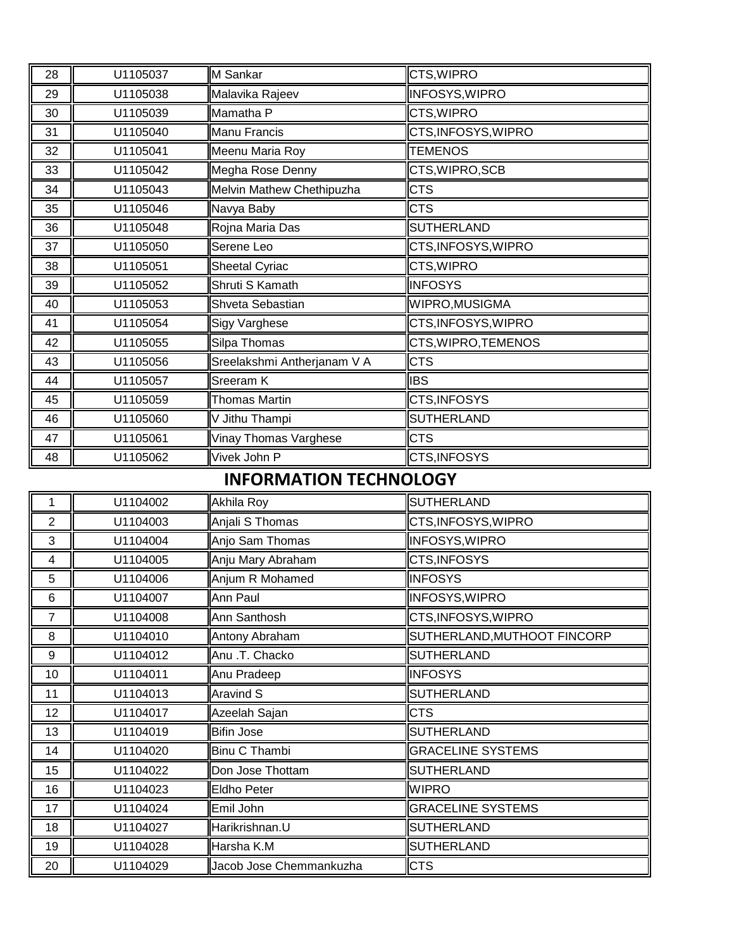| 28             | U1105037 | M Sankar                      | CTS, WIPRO                  |
|----------------|----------|-------------------------------|-----------------------------|
| 29             | U1105038 | Malavika Rajeev               | <b>INFOSYS, WIPRO</b>       |
| 30             | U1105039 | Mamatha P                     | CTS, WIPRO                  |
| 31             | U1105040 | Manu Francis                  | CTS, INFOSYS, WIPRO         |
| 32             | U1105041 | Meenu Maria Roy               | <b>TEMENOS</b>              |
| 33             | U1105042 | Megha Rose Denny              | CTS, WIPRO, SCB             |
| 34             | U1105043 | Melvin Mathew Chethipuzha     | <b>CTS</b>                  |
| 35             | U1105046 | Navya Baby                    | <b>CTS</b>                  |
| 36             | U1105048 | Rojna Maria Das               | <b>SUTHERLAND</b>           |
| 37             | U1105050 | Serene Leo                    | CTS, INFOSYS, WIPRO         |
| 38             | U1105051 | <b>Sheetal Cyriac</b>         | CTS, WIPRO                  |
| 39             | U1105052 | Shruti S Kamath               | <b>INFOSYS</b>              |
| 40             | U1105053 | Shveta Sebastian              | WIPRO, MUSIGMA              |
| 41             | U1105054 | <b>Sigy Varghese</b>          | CTS, INFOSYS, WIPRO         |
| 42             | U1105055 | Silpa Thomas                  | CTS, WIPRO, TEMENOS         |
| 43             | U1105056 | Sreelakshmi Antherjanam V A   | <b>CTS</b>                  |
| 44             | U1105057 | Sreeram K                     | <b>IBS</b>                  |
| 45             | U1105059 | <b>Thomas Martin</b>          | CTS, INFOSYS                |
| 46             | U1105060 | V Jithu Thampi                | <b>SUTHERLAND</b>           |
| 47             | U1105061 | Vinay Thomas Varghese         | <b>CTS</b>                  |
| 48             | U1105062 | Vivek John P                  | CTS, INFOSYS                |
|                |          | <b>INFORMATION TECHNOLOGY</b> |                             |
| 1              | U1104002 | Akhila Roy                    | <b>SUTHERLAND</b>           |
| $\overline{2}$ | U1104003 | Anjali S Thomas               | CTS, INFOSYS, WIPRO         |
| 3              | U1104004 | Anjo Sam Thomas               | <b>INFOSYS, WIPRO</b>       |
| 4              | U1104005 | Anju Mary Abraham             | CTS, INFOSYS                |
| 5              | U1104006 | Anjum R Mohamed               | <b>INFOSYS</b>              |
| 6              | U1104007 | Ann Paul                      | INFOSYS, WIPRO              |
| $\overline{7}$ | U1104008 | Ann Santhosh                  | CTS, INFOSYS, WIPRO         |
| 8              | U1104010 | Antony Abraham                | SUTHERLAND, MUTHOOT FINCORP |
| 9              | U1104012 | Anu .T. Chacko                | <b>SUTHERLAND</b>           |
| 10             | U1104011 | Anu Pradeep                   | <b>INFOSYS</b>              |
| 11             | U1104013 | Aravind S                     | <b>SUTHERLAND</b>           |
| 12             | U1104017 | Azeelah Sajan                 | <b>CTS</b>                  |
| 13             | U1104019 | <b>Bifin Jose</b>             | <b>SUTHERLAND</b>           |
| 14             | U1104020 | Binu C Thambi                 | <b>GRACELINE SYSTEMS</b>    |
| 15             | U1104022 | Don Jose Thottam              | <b>SUTHERLAND</b>           |
| 16             |          | <b>Eldho Peter</b>            | <b>WIPRO</b>                |
|                | U1104023 |                               |                             |
| 17             | U1104024 | Emil John                     | <b>GRACELINE SYSTEMS</b>    |
| 18             | U1104027 | Harikrishnan.U                | <b>SUTHERLAND</b>           |
| 19             | U1104028 | Harsha K.M                    | <b>SUTHERLAND</b>           |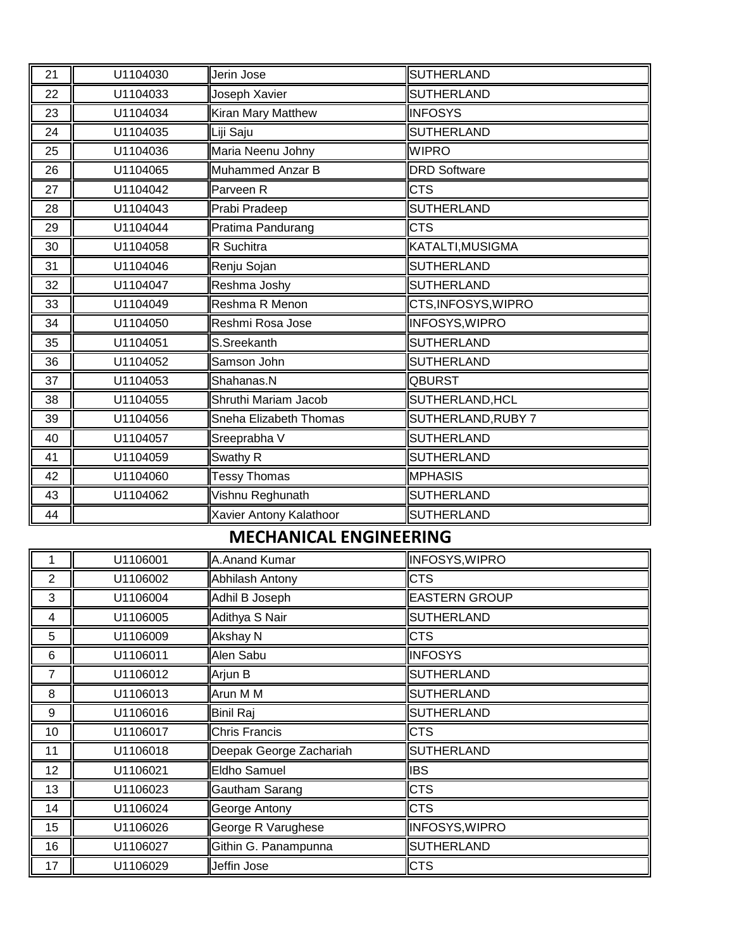| 21             | U1104030 | Jerin Jose                    | <b>SUTHERLAND</b>     |
|----------------|----------|-------------------------------|-----------------------|
| 22             | U1104033 | Joseph Xavier                 | <b>SUTHERLAND</b>     |
| 23             | U1104034 | Kiran Mary Matthew            | <b>INFOSYS</b>        |
| 24             | U1104035 | Liji Saju                     | <b>SUTHERLAND</b>     |
| 25             | U1104036 | Maria Neenu Johny             | <b>WIPRO</b>          |
| 26             | U1104065 | Muhammed Anzar B              | <b>DRD Software</b>   |
| 27             | U1104042 | Parveen R                     | <b>CTS</b>            |
| 28             | U1104043 | Prabi Pradeep                 | <b>SUTHERLAND</b>     |
| 29             | U1104044 | Pratima Pandurang             | <b>CTS</b>            |
| 30             | U1104058 | R Suchitra                    | KATALTI, MUSIGMA      |
| 31             | U1104046 | Renju Sojan                   | <b>SUTHERLAND</b>     |
| 32             | U1104047 | Reshma Joshy                  | <b>SUTHERLAND</b>     |
| 33             | U1104049 | Reshma R Menon                | CTS, INFOSYS, WIPRO   |
| 34             | U1104050 | Reshmi Rosa Jose              | <b>INFOSYS, WIPRO</b> |
| 35             | U1104051 | S.Sreekanth                   | <b>SUTHERLAND</b>     |
| 36             | U1104052 | Samson John                   | <b>SUTHERLAND</b>     |
| 37             | U1104053 | Shahanas.N                    | <b>QBURST</b>         |
| 38             | U1104055 | Shruthi Mariam Jacob          | SUTHERLAND, HCL       |
| 39             | U1104056 | Sneha Elizabeth Thomas        | SUTHERLAND, RUBY 7    |
| 40             | U1104057 | Sreeprabha V                  | <b>SUTHERLAND</b>     |
| 41             | U1104059 | Swathy R                      | <b>SUTHERLAND</b>     |
| 42             | U1104060 | <b>Tessy Thomas</b>           | <b>MPHASIS</b>        |
| 43             | U1104062 | Vishnu Reghunath              | <b>SUTHERLAND</b>     |
| 44             |          | Xavier Antony Kalathoor       | <b>SUTHERLAND</b>     |
|                |          | <b>MECHANICAL ENGINEERING</b> |                       |
| 1              | U1106001 | A.Anand Kumar                 | <b>INFOSYS, WIPRO</b> |
| 2              | U1106002 | Abhilash Antony               | <b>CTS</b>            |
| 3              | U1106004 | Adhil B Joseph                | <b>EASTERN GROUP</b>  |
| 4              | U1106005 | Adithya S Nair                | <b>SUTHERLAND</b>     |
| 5              | U1106009 | Akshay N                      | CTS                   |
| 6              | U1106011 | Alen Sabu                     | <b>INFOSYS</b>        |
| $\overline{7}$ | U1106012 | Arjun B                       | <b>SUTHERLAND</b>     |
| 8              | U1106013 | Arun M M                      | <b>SUTHERLAND</b>     |
| 9              | U1106016 | <b>Binil Raj</b>              | <b>SUTHERLAND</b>     |
| 10             | U1106017 | <b>Chris Francis</b>          | <b>CTS</b>            |
| 11             | U1106018 | Deepak George Zachariah       | <b>SUTHERLAND</b>     |
| 12             | U1106021 | <b>Eldho Samuel</b>           | <b>IBS</b>            |
| 13             | U1106023 | Gautham Sarang                | <b>CTS</b>            |
| 14             | U1106024 | George Antony                 | <b>CTS</b>            |
| 15             | U1106026 | George R Varughese            | INFOSYS, WIPRO        |
|                |          |                               |                       |
| 16             | U1106027 | Githin G. Panampunna          | <b>SUTHERLAND</b>     |